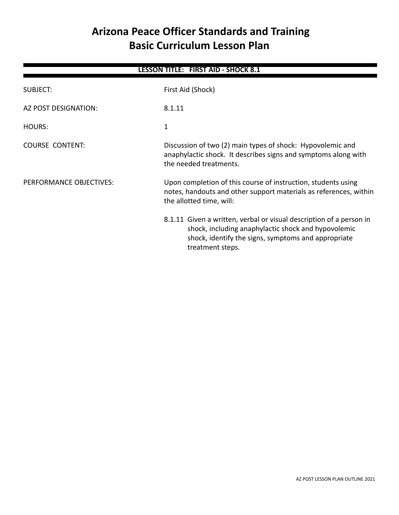# **Arizona Peace Officer Standards and Training Basic Curriculum Lesson Plan**

| <b>LESSON TITLE: FIRST AID - SHOCK 8.1</b> |                                                                                                                                                                                                       |  |
|--------------------------------------------|-------------------------------------------------------------------------------------------------------------------------------------------------------------------------------------------------------|--|
| SUBJECT:                                   | First Aid (Shock)                                                                                                                                                                                     |  |
| AZ POST DESIGNATION:                       | 8.1.11                                                                                                                                                                                                |  |
| HOURS:                                     | 1                                                                                                                                                                                                     |  |
| <b>COURSE CONTENT:</b>                     | Discussion of two (2) main types of shock: Hypovolemic and<br>anaphylactic shock. It describes signs and symptoms along with<br>the needed treatments.                                                |  |
| PERFORMANCE OBJECTIVES:                    | Upon completion of this course of instruction, students using<br>notes, handouts and other support materials as references, within<br>the allotted time, will:                                        |  |
|                                            | 8.1.11 Given a written, verbal or visual description of a person in<br>shock, including anaphylactic shock and hypovolemic<br>shock, identify the signs, symptoms and appropriate<br>treatment steps. |  |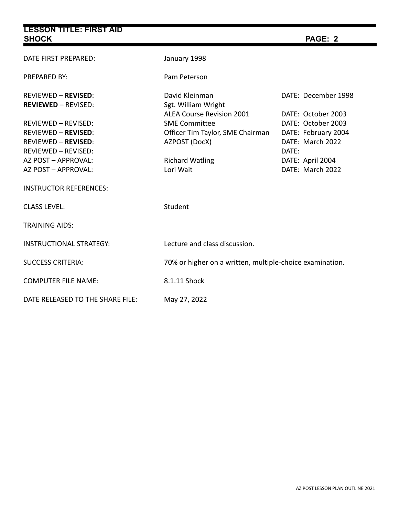| <b>LESSON TITLE: FIRST AID</b><br><b>SHOCK</b>                                                                       |                                                                                                               | PAGE: 2                                                                                      |  |
|----------------------------------------------------------------------------------------------------------------------|---------------------------------------------------------------------------------------------------------------|----------------------------------------------------------------------------------------------|--|
| DATE FIRST PREPARED:                                                                                                 | January 1998                                                                                                  |                                                                                              |  |
| PREPARED BY:                                                                                                         | Pam Peterson                                                                                                  |                                                                                              |  |
| <b>REVIEWED - REVISED:</b><br><b>REVIEWED - REVISED:</b>                                                             | David Kleinman<br>Sgt. William Wright                                                                         | DATE: December 1998                                                                          |  |
| <b>REVIEWED - REVISED:</b><br><b>REVIEWED - REVISED:</b><br><b>REVIEWED - REVISED:</b><br><b>REVIEWED - REVISED:</b> | <b>ALEA Course Revision 2001</b><br><b>SME Committee</b><br>Officer Tim Taylor, SME Chairman<br>AZPOST (DocX) | DATE: October 2003<br>DATE: October 2003<br>DATE: February 2004<br>DATE: March 2022<br>DATE: |  |
| AZ POST - APPROVAL:<br>AZ POST - APPROVAL:                                                                           | <b>Richard Watling</b><br>Lori Wait                                                                           | DATE: April 2004<br>DATE: March 2022                                                         |  |
| <b>INSTRUCTOR REFERENCES:</b>                                                                                        |                                                                                                               |                                                                                              |  |
| <b>CLASS LEVEL:</b>                                                                                                  | Student                                                                                                       |                                                                                              |  |
| <b>TRAINING AIDS:</b>                                                                                                |                                                                                                               |                                                                                              |  |
| <b>INSTRUCTIONAL STRATEGY:</b>                                                                                       | Lecture and class discussion.                                                                                 |                                                                                              |  |
| <b>SUCCESS CRITERIA:</b>                                                                                             |                                                                                                               | 70% or higher on a written, multiple-choice examination.                                     |  |
| <b>COMPUTER FILE NAME:</b>                                                                                           | 8.1.11 Shock                                                                                                  |                                                                                              |  |
| DATE RELEASED TO THE SHARE FILE:                                                                                     | May 27, 2022                                                                                                  |                                                                                              |  |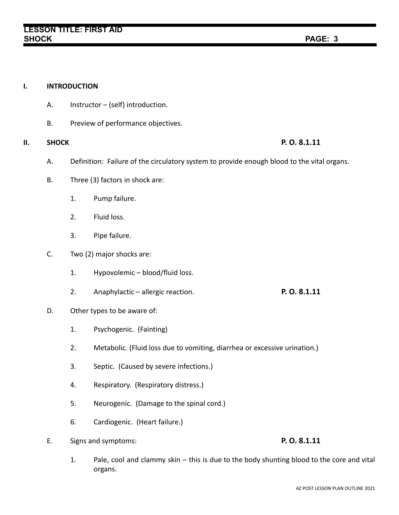# **I. INTRODUCTION** A. Instructor – (self) introduction. B. Preview of performance objectives. **II. SHOCK P. O. 8.1.11** A. Definition: Failure of the circulatory system to provide enough blood to the vital organs. B. Three (3) factors in shock are: 1. Pump failure. 2. Fluid loss. 3. Pipe failure. C. Two (2) major shocks are: 1. Hypovolemic – blood/fluid loss. 2. Anaphylactic – allergic reaction. **P. O. 8.1.11** D. Other types to be aware of: 1. Psychogenic. (Fainting) 2. Metabolic. (Fluid loss due to vomiting, diarrhea or excessive urination.) 3. Septic. (Caused by severe infections.) 4. Respiratory. (Respiratory distress.) 5. Neurogenic. (Damage to the spinal cord.) 6. Cardiogenic. (Heart failure.) E. Signs and symptoms: **P. O. 8.1.11**

1. Pale, cool and clammy skin – this is due to the body shunting blood to the core and vital organs.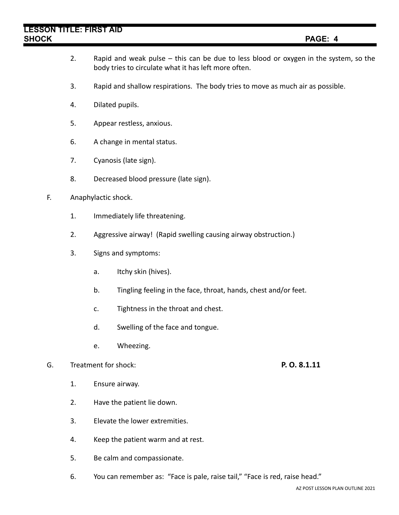- 2. Rapid and weak pulse this can be due to less blood or oxygen in the system, so the body tries to circulate what it has left more often.
- 3. Rapid and shallow respirations. The body tries to move as much air as possible.
- 4. Dilated pupils.
- 5. Appear restless, anxious.
- 6. A change in mental status.
- 7. Cyanosis (late sign).
- 8. Decreased blood pressure (late sign).
- F. Anaphylactic shock.
	- 1. Immediately life threatening.
	- 2. Aggressive airway! (Rapid swelling causing airway obstruction.)
	- 3. Signs and symptoms:
		- a. Itchy skin (hives).
		- b. Tingling feeling in the face, throat, hands, chest and/or feet.
		- c. Tightness in the throat and chest.
		- d. Swelling of the face and tongue.
		- e. Wheezing.

## G. Treatment for shock: **P. O. 8.1.11**

- 1. Ensure airway.
- 2. Have the patient lie down.
- 3. Elevate the lower extremities.
- 4. Keep the patient warm and at rest.
- 5. Be calm and compassionate.
- 6. You can remember as: "Face is pale, raise tail," "Face is red, raise head."